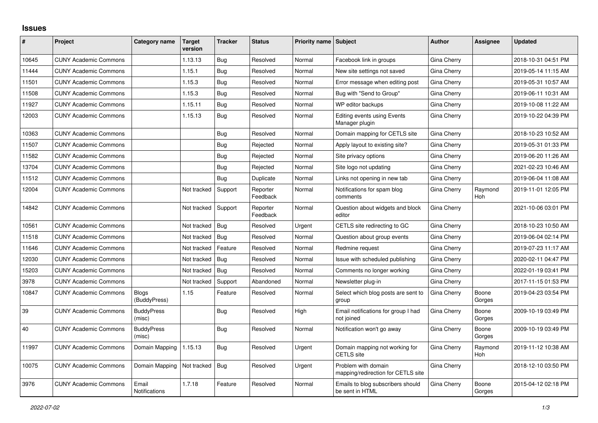## **Issues**

| #     | Project                      | Category name                | Target<br>version | <b>Tracker</b> | <b>Status</b>        | Priority name Subject |                                                           | <b>Author</b> | <b>Assignee</b> | <b>Updated</b>      |
|-------|------------------------------|------------------------------|-------------------|----------------|----------------------|-----------------------|-----------------------------------------------------------|---------------|-----------------|---------------------|
| 10645 | <b>CUNY Academic Commons</b> |                              | 1.13.13           | Bug            | Resolved             | Normal                | Facebook link in groups                                   | Gina Cherry   |                 | 2018-10-31 04:51 PM |
| 11444 | <b>CUNY Academic Commons</b> |                              | 1.15.1            | Bug            | Resolved             | Normal                | New site settings not saved                               | Gina Cherry   |                 | 2019-05-14 11:15 AM |
| 11501 | <b>CUNY Academic Commons</b> |                              | 1.15.3            | Bug            | Resolved             | Normal                | Error message when editing post                           | Gina Cherry   |                 | 2019-05-31 10:57 AM |
| 11508 | <b>CUNY Academic Commons</b> |                              | 1.15.3            | Bug            | Resolved             | Normal                | Bug with "Send to Group"                                  | Gina Cherry   |                 | 2019-06-11 10:31 AM |
| 11927 | <b>CUNY Academic Commons</b> |                              | 1.15.11           | Bug            | Resolved             | Normal                | WP editor backups                                         | Gina Cherry   |                 | 2019-10-08 11:22 AM |
| 12003 | <b>CUNY Academic Commons</b> |                              | 1.15.13           | Bug            | Resolved             | Normal                | <b>Editing events using Events</b><br>Manager plugin      | Gina Cherry   |                 | 2019-10-22 04:39 PM |
| 10363 | <b>CUNY Academic Commons</b> |                              |                   | Bug            | Resolved             | Normal                | Domain mapping for CETLS site                             | Gina Cherry   |                 | 2018-10-23 10:52 AM |
| 11507 | <b>CUNY Academic Commons</b> |                              |                   | <b>Bug</b>     | Rejected             | Normal                | Apply layout to existing site?                            | Gina Cherry   |                 | 2019-05-31 01:33 PM |
| 11582 | <b>CUNY Academic Commons</b> |                              |                   | Bug            | Rejected             | Normal                | Site privacy options                                      | Gina Cherry   |                 | 2019-06-20 11:26 AM |
| 13704 | <b>CUNY Academic Commons</b> |                              |                   | Bug            | Rejected             | Normal                | Site logo not updating                                    | Gina Cherry   |                 | 2021-02-23 10:46 AM |
| 11512 | <b>CUNY Academic Commons</b> |                              |                   | Bug            | Duplicate            | Normal                | Links not opening in new tab                              | Gina Cherry   |                 | 2019-06-04 11:08 AM |
| 12004 | <b>CUNY Academic Commons</b> |                              | Not tracked       | Support        | Reporter<br>Feedback | Normal                | Notifications for spam blog<br>comments                   | Gina Cherry   | Raymond<br>Hoh  | 2019-11-01 12:05 PM |
| 14842 | <b>CUNY Academic Commons</b> |                              | Not tracked       | Support        | Reporter<br>Feedback | Normal                | Question about widgets and block<br>editor                | Gina Cherry   |                 | 2021-10-06 03:01 PM |
| 10561 | <b>CUNY Academic Commons</b> |                              | Not tracked       | Bug            | Resolved             | Urgent                | CETLS site redirecting to GC                              | Gina Cherry   |                 | 2018-10-23 10:50 AM |
| 11518 | <b>CUNY Academic Commons</b> |                              | Not tracked       | Bug            | Resolved             | Normal                | Question about group events                               | Gina Cherry   |                 | 2019-06-04 02:14 PM |
| 11646 | <b>CUNY Academic Commons</b> |                              | Not tracked       | Feature        | Resolved             | Normal                | Redmine request                                           | Gina Cherry   |                 | 2019-07-23 11:17 AM |
| 12030 | <b>CUNY Academic Commons</b> |                              | Not tracked       | Bug            | Resolved             | Normal                | Issue with scheduled publishing                           | Gina Cherry   |                 | 2020-02-11 04:47 PM |
| 15203 | <b>CUNY Academic Commons</b> |                              | Not tracked       | <b>Bug</b>     | Resolved             | Normal                | Comments no longer working                                | Gina Cherry   |                 | 2022-01-19 03:41 PM |
| 3978  | <b>CUNY Academic Commons</b> |                              | Not tracked       | Support        | Abandoned            | Normal                | Newsletter plug-in                                        | Gina Cherry   |                 | 2017-11-15 01:53 PM |
| 10847 | <b>CUNY Academic Commons</b> | <b>Blogs</b><br>(BuddyPress) | 1.15              | Feature        | Resolved             | Normal                | Select which blog posts are sent to<br>group              | Gina Cherry   | Boone<br>Gorges | 2019-04-23 03:54 PM |
| 39    | <b>CUNY Academic Commons</b> | <b>BuddyPress</b><br>(misc)  |                   | <b>Bug</b>     | Resolved             | High                  | Email notifications for group I had<br>not joined         | Gina Cherry   | Boone<br>Gorges | 2009-10-19 03:49 PM |
| 40    | <b>CUNY Academic Commons</b> | <b>BuddyPress</b><br>(misc)  |                   | <b>Bug</b>     | Resolved             | Normal                | Notification won't go away                                | Gina Cherry   | Boone<br>Gorges | 2009-10-19 03:49 PM |
| 11997 | <b>CUNY Academic Commons</b> | Domain Mapping               | 1.15.13           | <b>Bug</b>     | Resolved             | Urgent                | Domain mapping not working for<br><b>CETLS</b> site       | Gina Cherry   | Raymond<br>Hoh  | 2019-11-12 10:38 AM |
| 10075 | <b>CUNY Academic Commons</b> | Domain Mapping               | Not tracked       | <b>Bug</b>     | Resolved             | Urgent                | Problem with domain<br>mapping/redirection for CETLS site | Gina Cherry   |                 | 2018-12-10 03:50 PM |
| 3976  | <b>CUNY Academic Commons</b> | Email<br>Notifications       | 1.7.18            | Feature        | Resolved             | Normal                | Emails to blog subscribers should<br>be sent in HTML      | Gina Cherry   | Boone<br>Gorges | 2015-04-12 02:18 PM |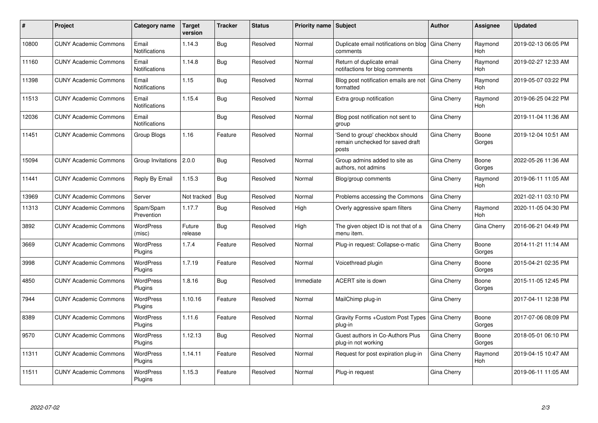| #     | Project                      | Category name                 | <b>Target</b><br>version | <b>Tracker</b> | <b>Status</b> | <b>Priority name Subject</b> |                                                                              | Author      | Assignee              | <b>Updated</b>      |
|-------|------------------------------|-------------------------------|--------------------------|----------------|---------------|------------------------------|------------------------------------------------------------------------------|-------------|-----------------------|---------------------|
| 10800 | <b>CUNY Academic Commons</b> | Email<br><b>Notifications</b> | 1.14.3                   | Bug            | Resolved      | Normal                       | Duplicate email notifications on blog<br>comments                            | Gina Cherry | Raymond<br><b>Hoh</b> | 2019-02-13 06:05 PM |
| 11160 | <b>CUNY Academic Commons</b> | Email<br><b>Notifications</b> | 1.14.8                   | Bug            | Resolved      | Normal                       | Return of duplicate email<br>notifactions for blog comments                  | Gina Cherry | Raymond<br>Hoh        | 2019-02-27 12:33 AM |
| 11398 | <b>CUNY Academic Commons</b> | Email<br><b>Notifications</b> | 1.15                     | <b>Bug</b>     | Resolved      | Normal                       | Blog post notification emails are not<br>formatted                           | Gina Cherry | Raymond<br>Hoh        | 2019-05-07 03:22 PM |
| 11513 | <b>CUNY Academic Commons</b> | Email<br><b>Notifications</b> | 1.15.4                   | <b>Bug</b>     | Resolved      | Normal                       | Extra group notification                                                     | Gina Cherry | Raymond<br>Hoh        | 2019-06-25 04:22 PM |
| 12036 | <b>CUNY Academic Commons</b> | Email<br>Notifications        |                          | Bug            | Resolved      | Normal                       | Blog post notification not sent to<br>group                                  | Gina Cherry |                       | 2019-11-04 11:36 AM |
| 11451 | <b>CUNY Academic Commons</b> | Group Blogs                   | 1.16                     | Feature        | Resolved      | Normal                       | 'Send to group' checkbox should<br>remain unchecked for saved draft<br>posts | Gina Cherry | Boone<br>Gorges       | 2019-12-04 10:51 AM |
| 15094 | <b>CUNY Academic Commons</b> | Group Invitations             | 2.0.0                    | <b>Bug</b>     | Resolved      | Normal                       | Group admins added to site as<br>authors, not admins                         | Gina Cherry | Boone<br>Gorges       | 2022-05-26 11:36 AM |
| 11441 | <b>CUNY Academic Commons</b> | Reply By Email                | 1.15.3                   | <b>Bug</b>     | Resolved      | Normal                       | Blog/group comments                                                          | Gina Cherry | Raymond<br>Hoh        | 2019-06-11 11:05 AM |
| 13969 | <b>CUNY Academic Commons</b> | Server                        | Not tracked              | Bug            | Resolved      | Normal                       | Problems accessing the Commons                                               | Gina Cherry |                       | 2021-02-11 03:10 PM |
| 11313 | <b>CUNY Academic Commons</b> | Spam/Spam<br>Prevention       | 1.17.7                   | Bug            | Resolved      | High                         | Overly aggressive spam filters                                               | Gina Cherry | Raymond<br>Hoh        | 2020-11-05 04:30 PM |
| 3892  | <b>CUNY Academic Commons</b> | <b>WordPress</b><br>(misc)    | Future<br>release        | Bug            | Resolved      | High                         | The given object ID is not that of a<br>menu item.                           | Gina Cherry | Gina Cherry           | 2016-06-21 04:49 PM |
| 3669  | <b>CUNY Academic Commons</b> | <b>WordPress</b><br>Plugins   | 1.7.4                    | Feature        | Resolved      | Normal                       | Plug-in request: Collapse-o-matic                                            | Gina Cherry | Boone<br>Gorges       | 2014-11-21 11:14 AM |
| 3998  | <b>CUNY Academic Commons</b> | <b>WordPress</b><br>Plugins   | 1.7.19                   | Feature        | Resolved      | Normal                       | Voicethread plugin                                                           | Gina Cherry | Boone<br>Gorges       | 2015-04-21 02:35 PM |
| 4850  | <b>CUNY Academic Commons</b> | <b>WordPress</b><br>Plugins   | 1.8.16                   | <b>Bug</b>     | Resolved      | Immediate                    | <b>ACERT</b> site is down                                                    | Gina Cherry | Boone<br>Gorges       | 2015-11-05 12:45 PM |
| 7944  | <b>CUNY Academic Commons</b> | <b>WordPress</b><br>Plugins   | 1.10.16                  | Feature        | Resolved      | Normal                       | MailChimp plug-in                                                            | Gina Cherry |                       | 2017-04-11 12:38 PM |
| 8389  | <b>CUNY Academic Commons</b> | WordPress<br><b>Plugins</b>   | 1.11.6                   | Feature        | Resolved      | Normal                       | Gravity Forms + Custom Post Types<br>plug-in                                 | Gina Cherry | Boone<br>Gorges       | 2017-07-06 08:09 PM |
| 9570  | <b>CUNY Academic Commons</b> | WordPress<br>Plugins          | 1.12.13                  | Bug            | Resolved      | Normal                       | Guest authors in Co-Authors Plus<br>plug-in not working                      | Gina Cherry | Boone<br>Gorges       | 2018-05-01 06:10 PM |
| 11311 | <b>CUNY Academic Commons</b> | <b>WordPress</b><br>Plugins   | 1.14.11                  | Feature        | Resolved      | Normal                       | Request for post expiration plug-in                                          | Gina Cherry | Raymond<br>Hoh        | 2019-04-15 10:47 AM |
| 11511 | <b>CUNY Academic Commons</b> | <b>WordPress</b><br>Plugins   | 1.15.3                   | Feature        | Resolved      | Normal                       | Plug-in request                                                              | Gina Cherry |                       | 2019-06-11 11:05 AM |